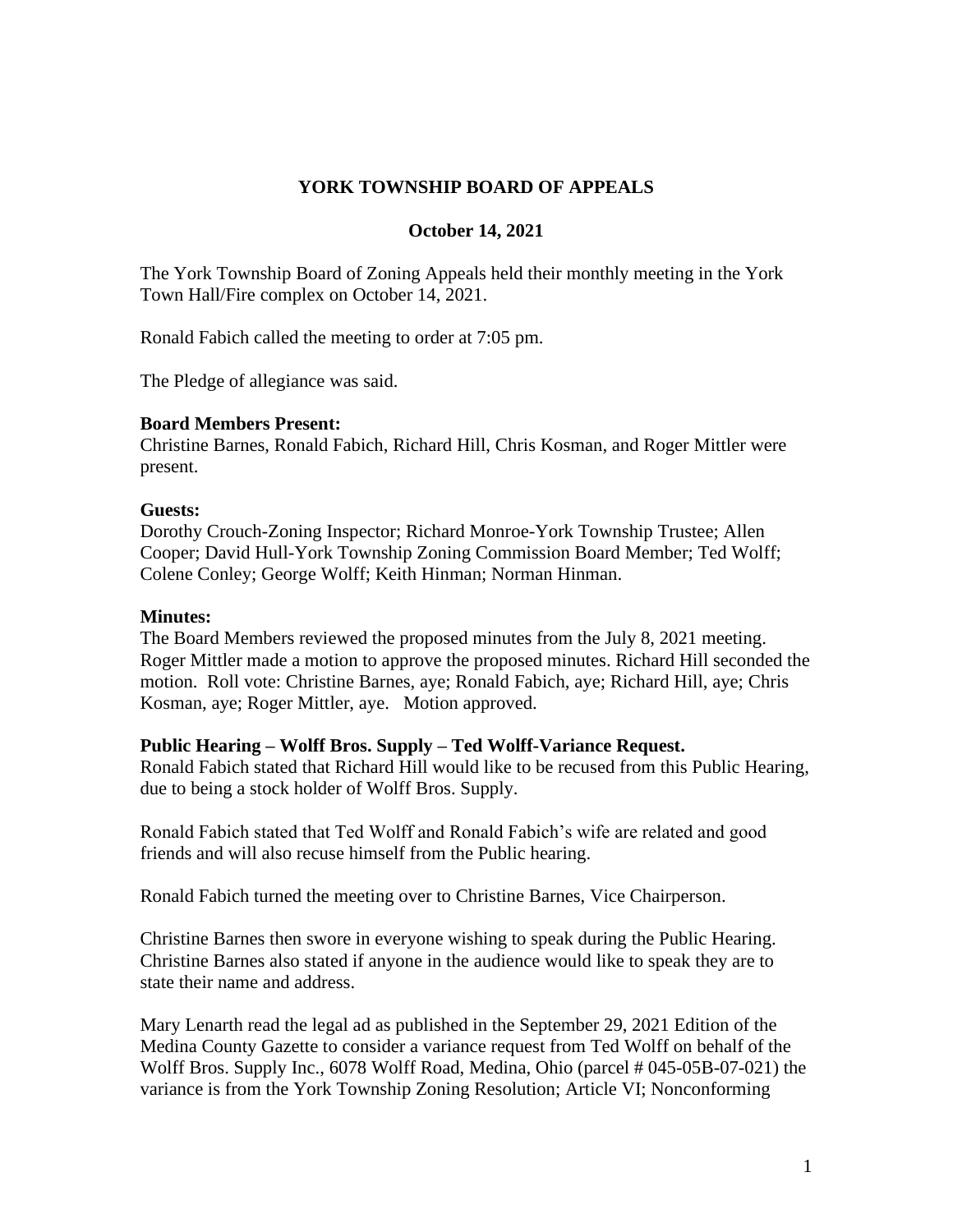### **YORK TOWNSHIP BOARD OF APPEALS**

### **October 14, 2021**

The York Township Board of Zoning Appeals held their monthly meeting in the York Town Hall/Fire complex on October 14, 2021.

Ronald Fabich called the meeting to order at 7:05 pm.

The Pledge of allegiance was said.

### **Board Members Present:**

Christine Barnes, Ronald Fabich, Richard Hill, Chris Kosman, and Roger Mittler were present.

#### **Guests:**

Dorothy Crouch-Zoning Inspector; Richard Monroe-York Township Trustee; Allen Cooper; David Hull-York Township Zoning Commission Board Member; Ted Wolff; Colene Conley; George Wolff; Keith Hinman; Norman Hinman.

#### **Minutes:**

The Board Members reviewed the proposed minutes from the July 8, 2021 meeting. Roger Mittler made a motion to approve the proposed minutes. Richard Hill seconded the motion. Roll vote: Christine Barnes, aye; Ronald Fabich, aye; Richard Hill, aye; Chris Kosman, aye; Roger Mittler, aye. Motion approved.

### **Public Hearing – Wolff Bros. Supply – Ted Wolff-Variance Request.**

Ronald Fabich stated that Richard Hill would like to be recused from this Public Hearing, due to being a stock holder of Wolff Bros. Supply.

Ronald Fabich stated that Ted Wolff and Ronald Fabich's wife are related and good friends and will also recuse himself from the Public hearing.

Ronald Fabich turned the meeting over to Christine Barnes, Vice Chairperson.

Christine Barnes then swore in everyone wishing to speak during the Public Hearing. Christine Barnes also stated if anyone in the audience would like to speak they are to state their name and address.

Mary Lenarth read the legal ad as published in the September 29, 2021 Edition of the Medina County Gazette to consider a variance request from Ted Wolff on behalf of the Wolff Bros. Supply Inc., 6078 Wolff Road, Medina, Ohio (parcel # 045-05B-07-021) the variance is from the York Township Zoning Resolution; Article VI; Nonconforming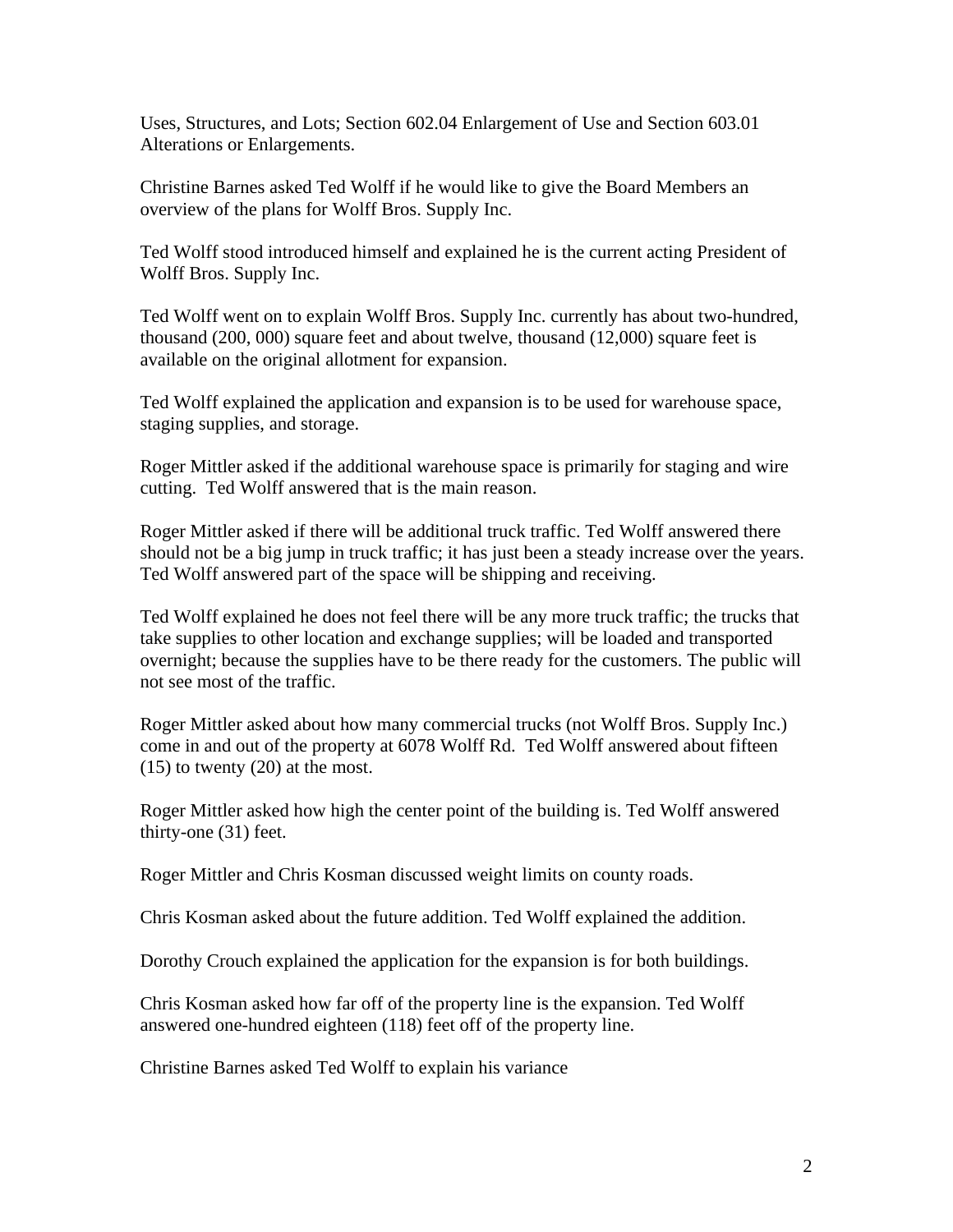Uses, Structures, and Lots; Section 602.04 Enlargement of Use and Section 603.01 Alterations or Enlargements.

Christine Barnes asked Ted Wolff if he would like to give the Board Members an overview of the plans for Wolff Bros. Supply Inc.

Ted Wolff stood introduced himself and explained he is the current acting President of Wolff Bros. Supply Inc.

Ted Wolff went on to explain Wolff Bros. Supply Inc. currently has about two-hundred, thousand (200, 000) square feet and about twelve, thousand (12,000) square feet is available on the original allotment for expansion.

Ted Wolff explained the application and expansion is to be used for warehouse space, staging supplies, and storage.

Roger Mittler asked if the additional warehouse space is primarily for staging and wire cutting. Ted Wolff answered that is the main reason.

Roger Mittler asked if there will be additional truck traffic. Ted Wolff answered there should not be a big jump in truck traffic; it has just been a steady increase over the years. Ted Wolff answered part of the space will be shipping and receiving.

Ted Wolff explained he does not feel there will be any more truck traffic; the trucks that take supplies to other location and exchange supplies; will be loaded and transported overnight; because the supplies have to be there ready for the customers. The public will not see most of the traffic.

Roger Mittler asked about how many commercial trucks (not Wolff Bros. Supply Inc.) come in and out of the property at 6078 Wolff Rd. Ted Wolff answered about fifteen (15) to twenty (20) at the most.

Roger Mittler asked how high the center point of the building is. Ted Wolff answered thirty-one (31) feet.

Roger Mittler and Chris Kosman discussed weight limits on county roads.

Chris Kosman asked about the future addition. Ted Wolff explained the addition.

Dorothy Crouch explained the application for the expansion is for both buildings.

Chris Kosman asked how far off of the property line is the expansion. Ted Wolff answered one-hundred eighteen (118) feet off of the property line.

Christine Barnes asked Ted Wolff to explain his variance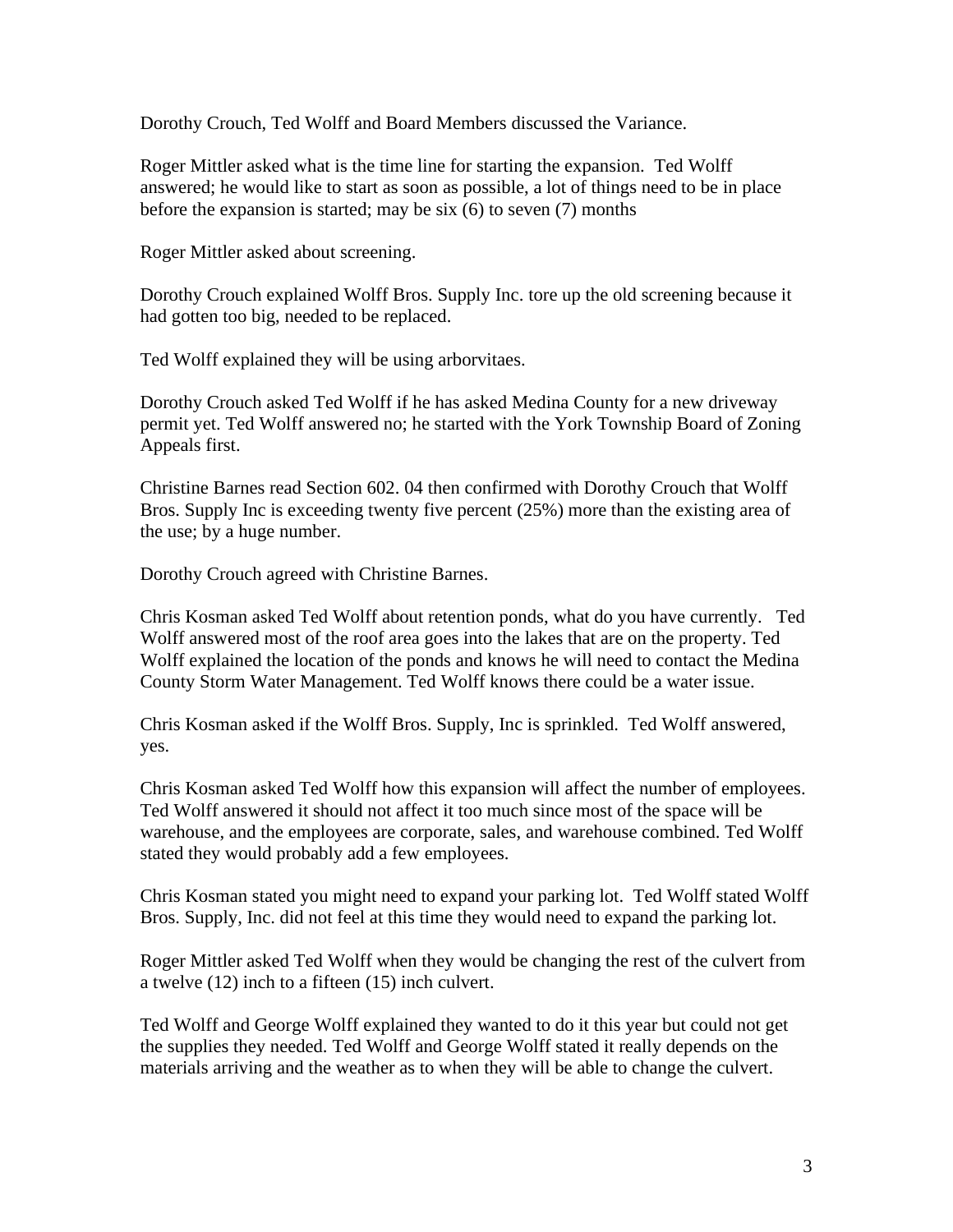Dorothy Crouch, Ted Wolff and Board Members discussed the Variance.

Roger Mittler asked what is the time line for starting the expansion. Ted Wolff answered; he would like to start as soon as possible, a lot of things need to be in place before the expansion is started; may be six (6) to seven (7) months

Roger Mittler asked about screening.

Dorothy Crouch explained Wolff Bros. Supply Inc. tore up the old screening because it had gotten too big, needed to be replaced.

Ted Wolff explained they will be using arborvitaes.

Dorothy Crouch asked Ted Wolff if he has asked Medina County for a new driveway permit yet. Ted Wolff answered no; he started with the York Township Board of Zoning Appeals first.

Christine Barnes read Section 602. 04 then confirmed with Dorothy Crouch that Wolff Bros. Supply Inc is exceeding twenty five percent (25%) more than the existing area of the use; by a huge number.

Dorothy Crouch agreed with Christine Barnes.

Chris Kosman asked Ted Wolff about retention ponds, what do you have currently. Ted Wolff answered most of the roof area goes into the lakes that are on the property. Ted Wolff explained the location of the ponds and knows he will need to contact the Medina County Storm Water Management. Ted Wolff knows there could be a water issue.

Chris Kosman asked if the Wolff Bros. Supply, Inc is sprinkled. Ted Wolff answered, yes.

Chris Kosman asked Ted Wolff how this expansion will affect the number of employees. Ted Wolff answered it should not affect it too much since most of the space will be warehouse, and the employees are corporate, sales, and warehouse combined. Ted Wolff stated they would probably add a few employees.

Chris Kosman stated you might need to expand your parking lot. Ted Wolff stated Wolff Bros. Supply, Inc. did not feel at this time they would need to expand the parking lot.

Roger Mittler asked Ted Wolff when they would be changing the rest of the culvert from a twelve (12) inch to a fifteen (15) inch culvert.

Ted Wolff and George Wolff explained they wanted to do it this year but could not get the supplies they needed. Ted Wolff and George Wolff stated it really depends on the materials arriving and the weather as to when they will be able to change the culvert.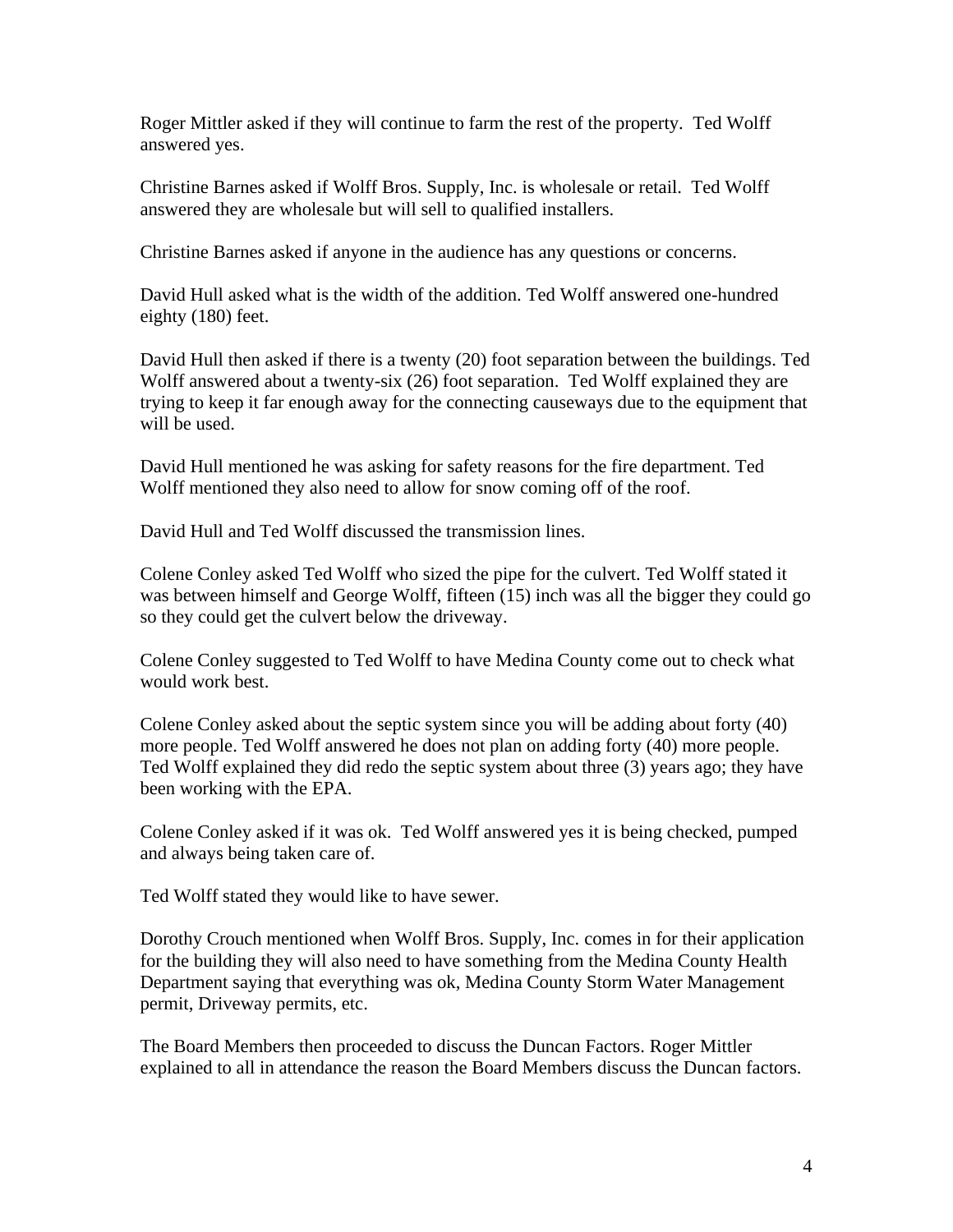Roger Mittler asked if they will continue to farm the rest of the property. Ted Wolff answered yes.

Christine Barnes asked if Wolff Bros. Supply, Inc. is wholesale or retail. Ted Wolff answered they are wholesale but will sell to qualified installers.

Christine Barnes asked if anyone in the audience has any questions or concerns.

David Hull asked what is the width of the addition. Ted Wolff answered one-hundred eighty (180) feet.

David Hull then asked if there is a twenty (20) foot separation between the buildings. Ted Wolff answered about a twenty-six (26) foot separation. Ted Wolff explained they are trying to keep it far enough away for the connecting causeways due to the equipment that will be used.

David Hull mentioned he was asking for safety reasons for the fire department. Ted Wolff mentioned they also need to allow for snow coming off of the roof.

David Hull and Ted Wolff discussed the transmission lines.

Colene Conley asked Ted Wolff who sized the pipe for the culvert. Ted Wolff stated it was between himself and George Wolff, fifteen (15) inch was all the bigger they could go so they could get the culvert below the driveway.

Colene Conley suggested to Ted Wolff to have Medina County come out to check what would work best.

Colene Conley asked about the septic system since you will be adding about forty (40) more people. Ted Wolff answered he does not plan on adding forty (40) more people. Ted Wolff explained they did redo the septic system about three (3) years ago; they have been working with the EPA.

Colene Conley asked if it was ok. Ted Wolff answered yes it is being checked, pumped and always being taken care of.

Ted Wolff stated they would like to have sewer.

Dorothy Crouch mentioned when Wolff Bros. Supply, Inc. comes in for their application for the building they will also need to have something from the Medina County Health Department saying that everything was ok, Medina County Storm Water Management permit, Driveway permits, etc.

The Board Members then proceeded to discuss the Duncan Factors. Roger Mittler explained to all in attendance the reason the Board Members discuss the Duncan factors.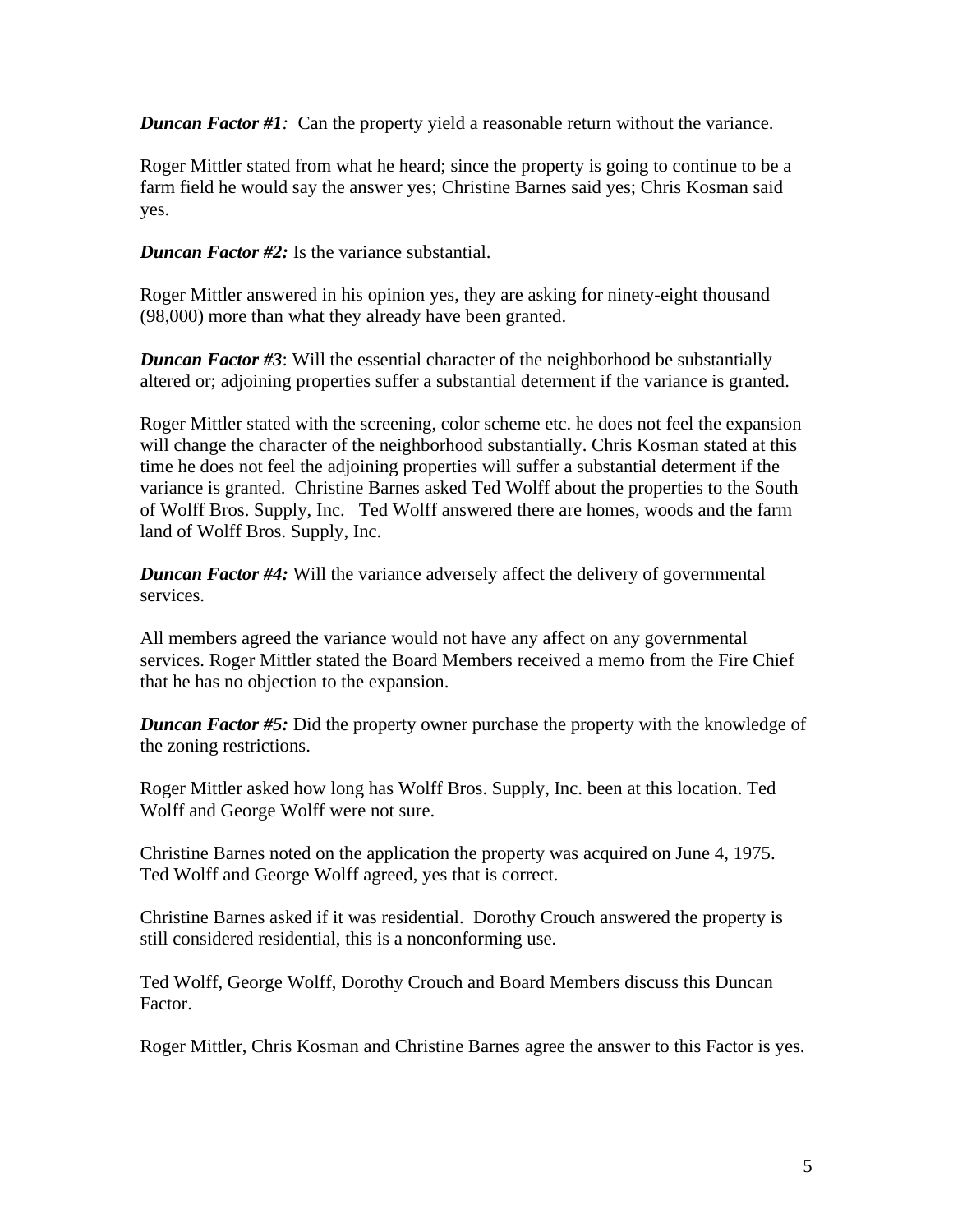*Duncan Factor #1*: Can the property yield a reasonable return without the variance.

Roger Mittler stated from what he heard; since the property is going to continue to be a farm field he would say the answer yes; Christine Barnes said yes; Chris Kosman said yes.

*Duncan Factor #2:* Is the variance substantial.

Roger Mittler answered in his opinion yes, they are asking for ninety-eight thousand (98,000) more than what they already have been granted.

*Duncan Factor #3*: Will the essential character of the neighborhood be substantially altered or; adjoining properties suffer a substantial determent if the variance is granted.

Roger Mittler stated with the screening, color scheme etc. he does not feel the expansion will change the character of the neighborhood substantially. Chris Kosman stated at this time he does not feel the adjoining properties will suffer a substantial determent if the variance is granted. Christine Barnes asked Ted Wolff about the properties to the South of Wolff Bros. Supply, Inc. Ted Wolff answered there are homes, woods and the farm land of Wolff Bros. Supply, Inc.

*Duncan Factor #4:* Will the variance adversely affect the delivery of governmental services.

All members agreed the variance would not have any affect on any governmental services. Roger Mittler stated the Board Members received a memo from the Fire Chief that he has no objection to the expansion.

*Duncan Factor #5:* Did the property owner purchase the property with the knowledge of the zoning restrictions.

Roger Mittler asked how long has Wolff Bros. Supply, Inc. been at this location. Ted Wolff and George Wolff were not sure.

Christine Barnes noted on the application the property was acquired on June 4, 1975. Ted Wolff and George Wolff agreed, yes that is correct.

Christine Barnes asked if it was residential. Dorothy Crouch answered the property is still considered residential, this is a nonconforming use.

Ted Wolff, George Wolff, Dorothy Crouch and Board Members discuss this Duncan Factor.

Roger Mittler, Chris Kosman and Christine Barnes agree the answer to this Factor is yes.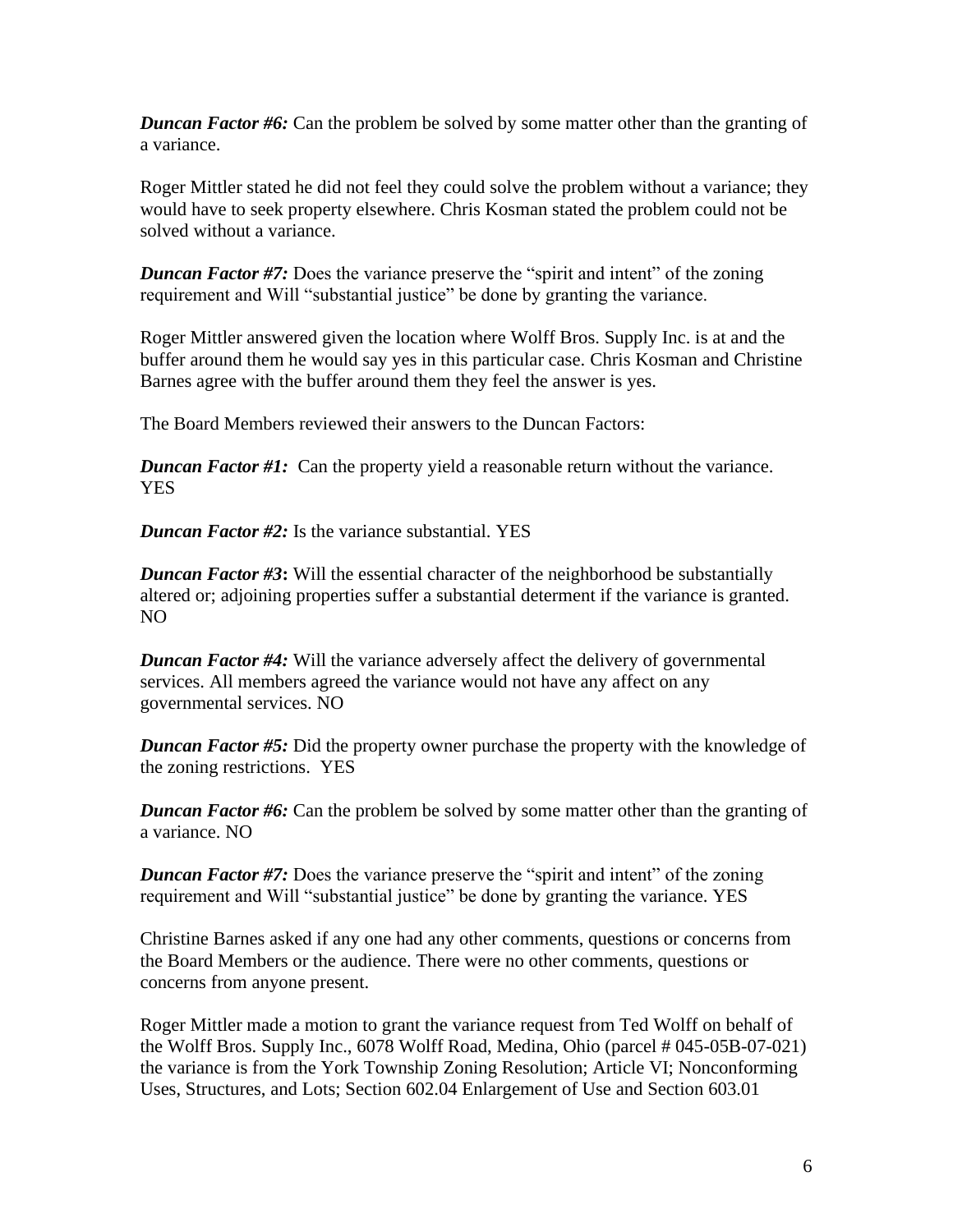*Duncan Factor #6:* Can the problem be solved by some matter other than the granting of a variance.

Roger Mittler stated he did not feel they could solve the problem without a variance; they would have to seek property elsewhere. Chris Kosman stated the problem could not be solved without a variance.

*Duncan Factor #7:* Does the variance preserve the "spirit and intent" of the zoning requirement and Will "substantial justice" be done by granting the variance.

Roger Mittler answered given the location where Wolff Bros. Supply Inc. is at and the buffer around them he would say yes in this particular case. Chris Kosman and Christine Barnes agree with the buffer around them they feel the answer is yes.

The Board Members reviewed their answers to the Duncan Factors:

*Duncan Factor #1:* Can the property yield a reasonable return without the variance. YES

*Duncan Factor #2:* Is the variance substantial. YES

*Duncan Factor #3*: Will the essential character of the neighborhood be substantially altered or; adjoining properties suffer a substantial determent if the variance is granted. NO

*Duncan Factor #4:* Will the variance adversely affect the delivery of governmental services. All members agreed the variance would not have any affect on any governmental services. NO

*Duncan Factor #5:* Did the property owner purchase the property with the knowledge of the zoning restrictions. YES

*Duncan Factor #6:* Can the problem be solved by some matter other than the granting of a variance. NO

*Duncan Factor #7:* Does the variance preserve the "spirit and intent" of the zoning requirement and Will "substantial justice" be done by granting the variance. YES

Christine Barnes asked if any one had any other comments, questions or concerns from the Board Members or the audience. There were no other comments, questions or concerns from anyone present.

Roger Mittler made a motion to grant the variance request from Ted Wolff on behalf of the Wolff Bros. Supply Inc., 6078 Wolff Road, Medina, Ohio (parcel # 045-05B-07-021) the variance is from the York Township Zoning Resolution; Article VI; Nonconforming Uses, Structures, and Lots; Section 602.04 Enlargement of Use and Section 603.01